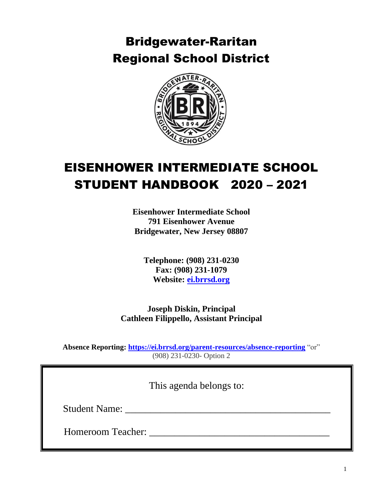# Bridgewater-Raritan Regional School District



# EISENHOWER INTERMEDIATE SCHOOL STUDENT HANDBOOK 2020 – 2021

**Eisenhower Intermediate School 791 Eisenhower Avenue Bridgewater, New Jersey 08807**

**Telephone: (908) 231-0230 Fax: (908) 231-1079 Website: [ei.brrsd.org](http://www.ei.brrsd.org/)**

**Joseph Diskin, Principal Cathleen Filippello, Assistant Principal**

**Absence Reporting:<https://ei.brrsd.org/parent-resources/absence-reporting>** "or" (908) 231-0230- Option 2

This agenda belongs to:

Student Name: \_\_\_\_\_\_\_\_\_\_\_\_\_\_\_\_\_\_\_\_\_\_\_\_\_\_\_\_\_\_\_\_\_\_\_\_\_\_\_\_\_

Homeroom Teacher: \_\_\_\_\_\_\_\_\_\_\_\_\_\_\_\_\_\_\_\_\_\_\_\_\_\_\_\_\_\_\_\_\_\_\_\_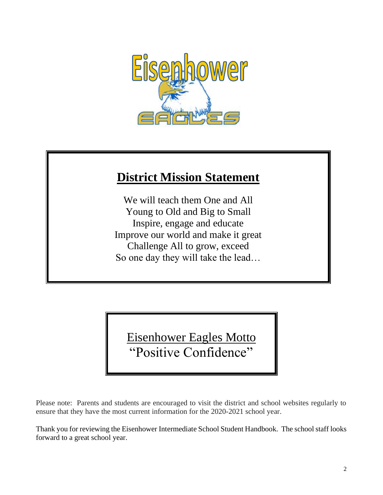

## **District Mission Statement**

We will teach them One and All Young to Old and Big to Small Inspire, engage and educate Improve our world and make it great Challenge All to grow, exceed So one day they will take the lead…

Eisenhower Eagles Motto "Positive Confidence"

Please note: Parents and students are encouraged to visit the district and school websites regularly to ensure that they have the most current information for the 2020-2021 school year.

Thank you for reviewing the Eisenhower Intermediate School Student Handbook. The school staff looks forward to a great school year.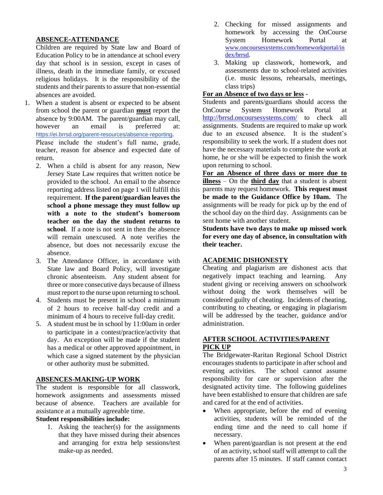#### **ABSENCE-ATTENDANCE**

Children are required by State law and Board of Education Policy to be in attendance at school every day that school is in session, except in cases of illness, death in the immediate family, or excused religious holidays. It is the responsibility of the students and their parents to assure that non-essential absences are avoided.

1. When a student is absent or expected to be absent from school the parent or guardian **must** report the absence by 9:00AM. The parent/guardian may call, however an email is preferred at: <https://ei.brrsd.org/parent-resources/absence-reporting>.

Please include the student's full name, grade, teacher, reason for absence and expected date of return.

- 2. When a child is absent for any reason, New Jersey State Law requires that written notice be provided to the school. An email to the absence reporting address listed on page 1 will fulfill this requirement. **If the parent/guardian leaves the school a phone message they must follow up with a note to the student's homeroom teacher on the day the student returns to school**. If a note is not sent in then the absence will remain unexcused. A note verifies the absence, but does not necessarily excuse the absence.
- 3. The Attendance Officer, in accordance with State law and Board Policy, will investigate chronic absenteeism. Any student absent for three or more consecutive days because of illness must report to the nurse upon returning to school.
- 4. Students must be present in school a minimum of 2 hours to receive half-day credit and a minimum of 4 hours to receive full-day credit.
- 5. A student must be in school by 11:00am in order to participate in a contest/practice/activity that day. An exception will be made if the student has a medical or other approved appointment, in which case a signed statement by the physician or other authority must be submitted.

#### **ABSENCES-MAKING-UP WORK**

The student is responsible for all classwork, homework assignments and assessments missed because of absence. Teachers are available for assistance at a mutually agreeable time.

#### **Student responsibilities include:**

1. Asking the teacher(s) for the assignments that they have missed during their absences and arranging for extra help sessions/test make-up as needed.

- 2. Checking for missed assignments and homework by accessing the OnCourse System Homework Portal at [www.oncoursesystems.com/homeworkportal/in](http://www.oncoursesystems.com/homeworkportal/index/brrsd) [dex/brrsd.](http://www.oncoursesystems.com/homeworkportal/index/brrsd)
- 3. Making up classwork, homework, and assessments due to school-related activities (i.e. music lessons, rehearsals, meetings, class trips)

## **For an Absence of two days or less** -

Students and parents/guardians should access the OnCourse System Homework Portal at <http://brrsd.oncoursesystems.com/> to check all assignments. Students are required to make up work due to an excused absence. It is the student's responsibility to seek the work. If a student does not have the necessary materials to complete the work at home, he or she will be expected to finish the work upon returning to school.

**For an Absence of three days or more due to illness** – On the **third day** that a student is absent parents may request homework. **This request must be made to the Guidance Office by 10am.** The assignments will be ready for pick up by the end of the school day on the third day. Assignments can be sent home with another student.

**Students have two days to make up missed work for every one day of absence, in consultation with their teacher.**

## **ACADEMIC DISHONESTY**

Cheating and plagiarism are dishonest acts that negatively impact teaching and learning. Any student giving or receiving answers on schoolwork without doing the work themselves will be considered guilty of cheating. Incidents of cheating, contributing to cheating, or engaging in plagiarism will be addressed by the teacher, guidance and/or administration.

## **AFTER SCHOOL ACTIVITIES/PARENT PICK UP**

The Bridgewater-Raritan Regional School District encourages students to participate in after school and evening activities. The school cannot assume responsibility for care or supervision after the designated activity time. The following guidelines have been established to ensure that children are safe and cared for at the end of activities.

- When appropriate, before the end of evening activities, students will be reminded of the ending time and the need to call home if necessary.
- When parent/guardian is not present at the end of an activity, school staff will attempt to call the parents after 15 minutes. If staff cannot contact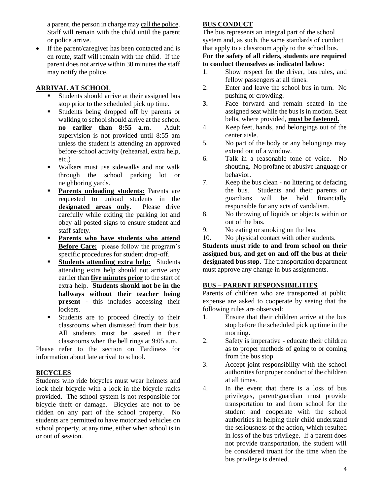a parent, the person in charge may call the police. Staff will remain with the child until the parent or police arrive.

If the parent/caregiver has been contacted and is en route, staff will remain with the child. If the parent does not arrive within 30 minutes the staff may notify the police.

## **ARRIVAL AT SCHOOL**

- Students should arrive at their assigned bus stop prior to the scheduled pick up time.
- Students being dropped off by parents or walking to school should arrive at the school **no earlier than 8:55 a.m.** Adult supervision is not provided until 8:55 am unless the student is attending an approved before-school activity (rehearsal, extra help, etc.)
- Walkers must use sidewalks and not walk through the school parking lot or neighboring yards.
- **Parents unloading students:** Parents are requested to unload students in the **designated areas only**. Please drive carefully while exiting the parking lot and obey all posted signs to ensure student and staff safety.
- **Parents who have students who attend Before Care:** please follow the program's specific procedures for student drop-off.
- **Students attending extra help:** Students attending extra help should not arrive any earlier than **five minutes prior** to the start of extra help. **Students should not be in the hallways without their teacher being present** - this includes accessing their lockers.
- **Example 1** Students are to proceed directly to their classrooms when dismissed from their bus. All students must be seated in their classrooms when the bell rings at 9:05 a.m.

Please refer to the section on Tardiness for information about late arrival to school.

## **BICYCLES**

Students who ride bicycles must wear helmets and lock their bicycle with a lock in the bicycle racks provided. The school system is not responsible for bicycle theft or damage. Bicycles are not to be ridden on any part of the school property. No students are permitted to have motorized vehicles on school property, at any time, either when school is in or out of session.

## **BUS CONDUCT**

The bus represents an integral part of the school system and, as such, the same standards of conduct that apply to a classroom apply to the school bus.

#### **For the safety of all riders, students are required to conduct themselves as indicated below:**

- 1. Show respect for the driver, bus rules, and fellow passengers at all times.
- 2. Enter and leave the school bus in turn. No pushing or crowding.
- **3.** Face forward and remain seated in the assigned seat while the bus is in motion. Seat belts, where provided, **must be fastened.**
- 4. Keep feet, hands, and belongings out of the center aisle.
- 5. No part of the body or any belongings may extend out of a window.
- 6. Talk in a reasonable tone of voice. No shouting. No profane or abusive language or behavior.
- 7. Keep the bus clean no littering or defacing the bus. Students and their parents or guardians will be held financially responsible for any acts of vandalism.
- 8. No throwing of liquids or objects within or out of the bus.
- 9. No eating or smoking on the bus.
- 10. No physical contact with other students.

**Students must ride to and from school on their assigned bus, and get on and off the bus at their designated bus stop.** The transportation department must approve any change in bus assignments.

## **BUS – PARENT RESPONSIBILITIES**

Parents of children who are transported at public expense are asked to cooperate by seeing that the following rules are observed:

- 1. Ensure that their children arrive at the bus stop before the scheduled pick up time in the morning.
- 2. Safety is imperative educate their children as to proper methods of going to or coming from the bus stop.
- 3. Accept joint responsibility with the school authorities for proper conduct of the children at all times.
- 4. In the event that there is a loss of bus privileges, parent/guardian must provide transportation to and from school for the student and cooperate with the school authorities in helping their child understand the seriousness of the action, which resulted in loss of the bus privilege. If a parent does not provide transportation, the student will be considered truant for the time when the bus privilege is denied.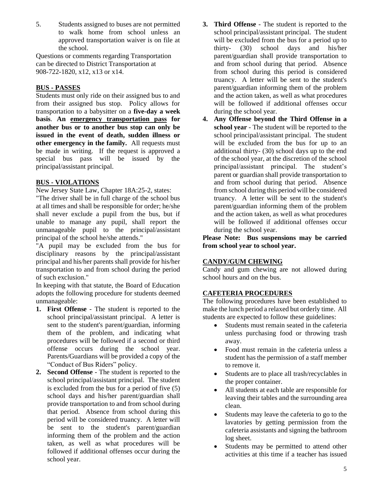5. Students assigned to buses are not permitted to walk home from school unless an approved transportation waiver is on file at the school.

Questions or comments regarding Transportation can be directed to District Transportation at 908-722-1820, x12, x13 or x14.

## **BUS - PASSES**

Students must only ride on their assigned bus to and from their assigned bus stop. Policy allows for transportation to a babysitter on a **five-day a week basis**. **An emergency transportation pass for another bus or to another bus stop can only be issued in the event of death, sudden illness or other emergency in the family.** All requests must be made in writing. If the request is approved a special bus pass will be issued by the principal/assistant principal.

## **BUS - VIOLATIONS**

New Jersey State Law, Chapter 18A:25-2, states:

"The driver shall be in full charge of the school bus at all times and shall be responsible for order; he/she shall never exclude a pupil from the bus, but if unable to manage any pupil, shall report the unmanageable pupil to the principal/assistant principal of the school he/she attends."

"A pupil may be excluded from the bus for disciplinary reasons by the principal/assistant principal and his/her parents shall provide for his/her transportation to and from school during the period of such exclusion."

In keeping with that statute, the Board of Education adopts the following procedure for students deemed unmanageable:

- **1. First Offense** The student is reported to the school principal/assistant principal. A letter is sent to the student's parent/guardian, informing them of the problem, and indicating what procedures will be followed if a second or third offense occurs during the school year. Parents/Guardians will be provided a copy of the "Conduct of Bus Riders" policy.
- **2. Second Offense** The student is reported to the school principal/assistant principal. The student is excluded from the bus for a period of five (5) school days and his/her parent/guardian shall provide transportation to and from school during that period. Absence from school during this period will be considered truancy. A letter will be sent to the student's parent/guardian informing them of the problem and the action taken, as well as what procedures will be followed if additional offenses occur during the school year.
- **3. Third Offense** The student is reported to the school principal/assistant principal. The student will be excluded from the bus for a period up to thirty- (30) school days and his/her parent/guardian shall provide transportation to and from school during that period. Absence from school during this period is considered truancy. A letter will be sent to the student's parent/guardian informing them of the problem and the action taken, as well as what procedures will be followed if additional offenses occur during the school year.
- **4. Any Offense beyond the Third Offense in a school year** - The student will be reported to the school principal/assistant principal. The student will be excluded from the bus for up to an additional thirty- (30) school days up to the end of the school year, at the discretion of the school principal/assistant principal. The student's parent or guardian shall provide transportation to and from school during that period. Absence from school during this period will be considered truancy. A letter will be sent to the student's parent/guardian informing them of the problem and the action taken, as well as what procedures will be followed if additional offenses occur during the school year.

**Please Note: Bus suspensions may be carried from school year to school year.**

## **CANDY/GUM CHEWING**

Candy and gum chewing are not allowed during school hours and on the bus.

## **CAFETERIA PROCEDURES**

The following procedures have been established to make the lunch period a relaxed but orderly time. All students are expected to follow these guidelines:

- Students must remain seated in the cafeteria unless purchasing food or throwing trash away.
- Food must remain in the cafeteria unless a student has the permission of a staff member to remove it.
- Students are to place all trash/recyclables in the proper container.
- All students at each table are responsible for leaving their tables and the surrounding area clean.
- Students may leave the cafeteria to go to the lavatories by getting permission from the cafeteria assistants and signing the bathroom log sheet.
- Students may be permitted to attend other activities at this time if a teacher has issued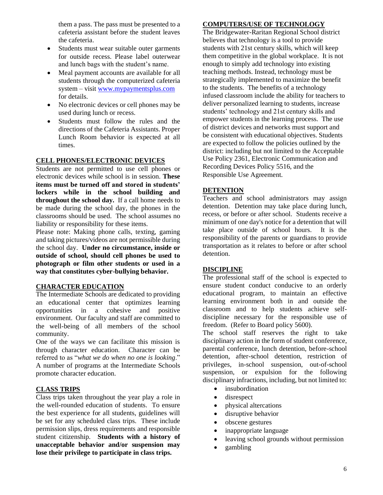them a pass. The pass must be presented to a cafeteria assistant before the student leaves the cafeteria.

- Students must wear suitable outer garments for outside recess. Please label outerwear and lunch bags with the student's name.
- Meal payment accounts are available for all students through the computerized cafeteria system – visit [www.mypaymentsplus.com](http://www.mypaymentsplus.com/) for details.
- No electronic devices or cell phones may be used during lunch or recess.
- Students must follow the rules and the directions of the Cafeteria Assistants. Proper Lunch Room behavior is expected at all times.

#### **CELL PHONES/ELECTRONIC DEVICES**

Students are not permitted to use cell phones or electronic devices while school is in session. **These items must be turned off and stored in students' lockers while in the school building and throughout the school day.** If a call home needs to be made during the school day, the phones in the classrooms should be used. The school assumes no liability or responsibility for these items.

Please note: Making phone calls, texting, gaming and taking pictures/videos are not permissible during the school day. **Under no circumstance, inside or outside of school, should cell phones be used to photograph or film other students or used in a way that constitutes cyber-bullying behavior.**

#### **CHARACTER EDUCATION**

The Intermediate Schools are dedicated to providing an educational center that optimizes learning opportunities in a cohesive and positive environment. Our faculty and staff are committed to the well-being of all members of the school community.

One of the ways we can facilitate this mission is through character education. Character can be referred to as "*what we do when no one is looking*." A number of programs at the Intermediate Schools promote character education.

## **CLASS TRIPS**

Class trips taken throughout the year play a role in the well-rounded education of students. To ensure the best experience for all students, guidelines will be set for any scheduled class trips. These include permission slips, dress requirements and responsible student citizenship. **Students with a history of unacceptable behavior and/or suspension may lose their privilege to participate in class trips.**

## **COMPUTERS/USE OF TECHNOLOGY**

The Bridgewater-Raritan Regional School district believes that technology is a tool to provide students with 21st century skills, which will keep them competitive in the global workplace. It is not enough to simply add technology into existing teaching methods. Instead, technology must be strategically implemented to maximize the benefit to the students. The benefits of a technology infused classroom include the ability for teachers to deliver personalized learning to students, increase students' technology and 21st century skills and empower students in the learning process. The use of district devices and networks must support and be consistent with educational objectives. Students are expected to follow the policies outlined by the district: including but not limited to the Acceptable Use Policy 2361, Electronic Communication and Recording Devices Policy 5516, and the Responsible Use Agreement.

#### **DETENTION**

Teachers and school administrators may assign detention. Detention may take place during lunch, recess, or before or after school. Students receive a minimum of one day's notice for a detention that will take place outside of school hours. It is the responsibility of the parents or guardians to provide transportation as it relates to before or after school detention.

#### **DISCIPLINE**

The professional staff of the school is expected to ensure student conduct conducive to an orderly educational program, to maintain an effective learning environment both in and outside the classroom and to help students achieve selfdiscipline necessary for the responsible use of freedom. (Refer to Board policy 5600).

The school staff reserves the right to take disciplinary action in the form of student conference, parental conference, lunch detention, before-school detention, after-school detention, restriction of privileges, in-school suspension, out-of-school suspension, or expulsion for the following disciplinary infractions, including, but not limited to:

- insubordination
- disrespect
- physical altercations
- disruptive behavior
- obscene gestures
- inappropriate language
- leaving school grounds without permission
- gambling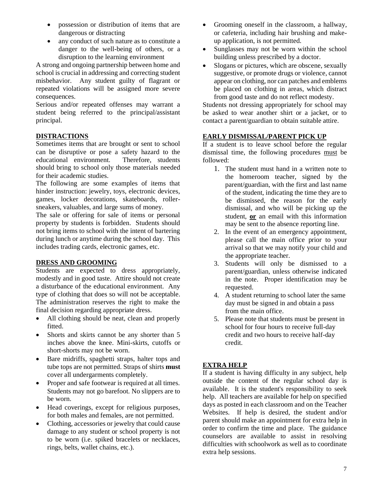- possession or distribution of items that are dangerous or distracting
- any conduct of such nature as to constitute a danger to the well-being of others, or a disruption to the learning environment

A strong and ongoing partnership between home and school is crucial in addressing and correcting student misbehavior. Any student guilty of flagrant or repeated violations will be assigned more severe consequences.

Serious and/or repeated offenses may warrant a student being referred to the principal/assistant principal.

## **DISTRACTIONS**

Sometimes items that are brought or sent to school can be disruptive or pose a safety hazard to the educational environment. Therefore, students should bring to school only those materials needed for their academic studies.

The following are some examples of items that hinder instruction: jewelry, toys, electronic devices, games, locker decorations, skateboards, rollersneakers, valuables, and large sums of money.

The sale or offering for sale of items or personal property by students is forbidden. Students should not bring items to school with the intent of bartering during lunch or anytime during the school day. This includes trading cards, electronic games, etc.

## **DRESS AND GROOMING**

Students are expected to dress appropriately, modestly and in good taste. Attire should not create a disturbance of the educational environment. Any type of clothing that does so will not be acceptable. The administration reserves the right to make the final decision regarding appropriate dress.

- All clothing should be neat, clean and properly fitted.
- Shorts and skirts cannot be any shorter than 5 inches above the knee. Mini-skirts, cutoffs or short-shorts may not be worn.
- Bare midriffs, spaghetti straps, halter tops and tube tops are not permitted. Straps of shirts **must** cover all undergarments completely.
- Proper and safe footwear is required at all times. Students may not go barefoot. No slippers are to be worn.
- Head coverings, except for religious purposes, for both males and females, are not permitted.
- Clothing, accessories or jewelry that could cause damage to any student or school property is not to be worn (i.e. spiked bracelets or necklaces, rings, belts, wallet chains, etc.).
- Grooming oneself in the classroom, a hallway, or cafeteria, including hair brushing and makeup application, is not permitted.
- Sunglasses may not be worn within the school building unless prescribed by a doctor.
- Slogans or pictures, which are obscene, sexually suggestive, or promote drugs or violence, cannot appear on clothing, nor can patches and emblems be placed on clothing in areas, which distract from good taste and do not reflect modesty.

Students not dressing appropriately for school may be asked to wear another shirt or a jacket, or to contact a parent/guardian to obtain suitable attire.

## **EARLY DISMISSAL/PARENT PICK UP**

If a student is to leave school before the regular dismissal time, the following procedures must be followed:

- 1. The student must hand in a written note to the homeroom teacher, signed by the parent/guardian, with the first and last name of the student, indicating the time they are to be dismissed, the reason for the early dismissal, and who will be picking up the student, **or** an email with this information may be sent to the absence reporting line.
- 2. In the event of an emergency appointment, please call the main office prior to your arrival so that we may notify your child and the appropriate teacher.
- 3. Students will only be dismissed to a parent/guardian, unless otherwise indicated in the note. Proper identification may be requested.
- 4. A student returning to school later the same day must be signed in and obtain a pass from the main office.
- 5. Please note that students must be present in school for four hours to receive full-day credit and two hours to receive half-day credit.

## **EXTRA HELP**

If a student is having difficulty in any subject, help outside the content of the regular school day is available. It is the student's responsibility to seek help. All teachers are available for help on specified days as posted in each classroom and on the Teacher Websites. If help is desired, the student and/or parent should make an appointment for extra help in order to confirm the time and place. The guidance counselors are available to assist in resolving difficulties with schoolwork as well as to coordinate extra help sessions.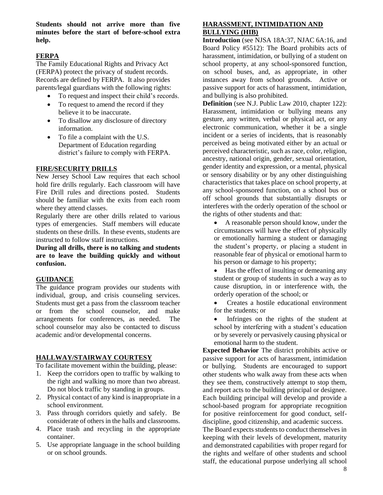**Students should not arrive more than five minutes before the start of before-school extra help.**

#### **FERPA**

The Family Educational Rights and Privacy Act (FERPA) protect the privacy of student records. Records are defined by FERPA. It also provides parents/legal guardians with the following rights:

- To request and inspect their child's records.
- To request to amend the record if they believe it to be inaccurate.
- To disallow any disclosure of directory information.
- To file a complaint with the U.S. Department of Education regarding district's failure to comply with FERPA.

#### **FIRE/SECURITY DRILLS**

New Jersey School Law requires that each school hold fire drills regularly. Each classroom will have Fire Drill rules and directions posted. Students should be familiar with the exits from each room where they attend classes.

Regularly there are other drills related to various types of emergencies. Staff members will educate students on these drills. In these events, students are instructed to follow staff instructions.

**During all drills, there is no talking and students are to leave the building quickly and without confusion.** 

#### **GUIDANCE**

The guidance program provides our students with individual, group, and crisis counseling services. Students must get a pass from the classroom teacher or from the school counselor, and make arrangements for conferences, as needed. The school counselor may also be contacted to discuss academic and/or developmental concerns.

## **HALLWAY/STAIRWAY COURTESY**

To facilitate movement within the building, please:

- 1. Keep the corridors open to traffic by walking to the right and walking no more than two abreast. Do not block traffic by standing in groups.
- 2. Physical contact of any kind is inappropriate in a school environment.
- 3. Pass through corridors quietly and safely. Be considerate of others in the halls and classrooms.
- 4. Place trash and recycling in the appropriate container.
- 5. Use appropriate language in the school building or on school grounds.

#### **HARASSMENT, INTIMIDATION AND BULLYING (HIB)**

**Introduction** (see NJSA 18A:37, NJAC 6A:16, and Board Policy #5512): The Board prohibits acts of harassment, intimidation, or bullying of a student on school property, at any school-sponsored function, on school buses, and, as appropriate, in other instances away from school grounds. Active or passive support for acts of harassment, intimidation, and bullying is also prohibited.

**Definition** (see N.J. Public Law 2010, chapter 122): Harassment, intimidation or bullying means any gesture, any written, verbal or physical act, or any electronic communication, whether it be a single incident or a series of incidents, that is reasonably perceived as being motivated either by an actual or perceived characteristic, such as race, color, religion, ancestry, national origin, gender, sexual orientation, gender identity and expression, or a mental, physical or sensory disability or by any other distinguishing characteristics that takes place on school property, at any school-sponsored function, on a school bus or off school grounds that substantially disrupts or interferes with the orderly operation of the school or the rights of other students and that:

• A reasonable person should know, under the circumstances will have the effect of physically or emotionally harming a student or damaging the student's property, or placing a student in reasonable fear of physical or emotional harm to his person or damage to his property;

• Has the effect of insulting or demeaning any student or group of students in such a way as to cause disruption, in or interference with, the orderly operation of the school; or

• Creates a hostile educational environment for the students; or

• Infringes on the rights of the student at school by interfering with a student's education or by severely or pervasively causing physical or emotional harm to the student.

**Expected Behavior** The district prohibits active or passive support for acts of harassment, intimidation or bullying. Students are encouraged to support other students who walk away from these acts when they see them, constructively attempt to stop them, and report acts to the building principal or designee. Each building principal will develop and provide a school-based program for appropriate recognition for positive reinforcement for good conduct, selfdiscipline, good citizenship, and academic success.

The Board expects students to conduct themselves in keeping with their levels of development, maturity and demonstrated capabilities with proper regard for the rights and welfare of other students and school staff, the educational purpose underlying all school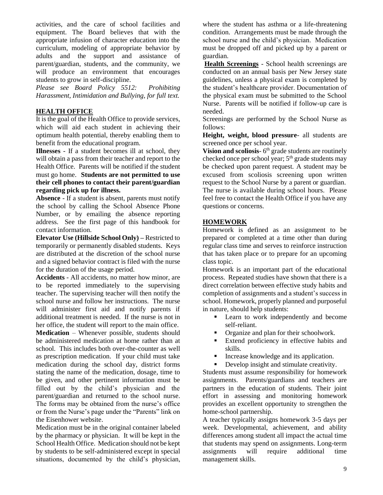activities, and the care of school facilities and equipment. The Board believes that with the appropriate infusion of character education into the curriculum, modeling of appropriate behavior by adults and the support and assistance of parent/guardian, students, and the community, we will produce an environment that encourages students to grow in self-discipline.

*Please see Board Policy 5512: Prohibiting Harassment, Intimidation and Bullying, for full text.*

## **HEALTH OFFICE**

It is the goal of the Health Office to provide services, which will aid each student in achieving their optimum health potential, thereby enabling them to benefit from the educational program.

**Illnesses** - If a student becomes ill at school, they will obtain a pass from their teacher and report to the Health Office. Parents will be notified if the student must go home. **Students are not permitted to use their cell phones to contact their parent/guardian regarding pick up for illness.**

**Absence** - If a student is absent, parents must notify the school by calling the School Absence Phone Number, or by emailing the absence reporting address. See the first page of this handbook for contact information.

**Elevator Use (Hillside School Only) –** Restricted to temporarily or permanently disabled students. Keys are distributed at the discretion of the school nurse and a signed behavior contract is filed with the nurse for the duration of the usage period.

**Accidents** - All accidents, no matter how minor, are to be reported immediately to the supervising teacher. The supervising teacher will then notify the school nurse and follow her instructions. The nurse will administer first aid and notify parents if additional treatment is needed. If the nurse is not in her office, the student will report to the main office.

**Medication** – Whenever possible, students should be administered medication at home rather than at school. This includes both over-the-counter as well as prescription medication. If your child must take medication during the school day, district forms stating the name of the medication, dosage, time to be given, and other pertinent information must be filled out by the child's physician and the parent/guardian and returned to the school nurse. The forms may be obtained from the nurse's office or from the Nurse's page under the "Parents" link on the Eisenhower website.

Medication must be in the original container labeled by the pharmacy or physician. It will be kept in the School Health Office. Medication should not be kept by students to be self-administered except in special situations, documented by the child's physician, where the student has asthma or a life-threatening condition. Arrangements must be made through the school nurse and the child's physician. Medication must be dropped off and picked up by a parent or guardian.

**Health Screenings** - School health screenings are conducted on an annual basis per New Jersey state guidelines, unless a physical exam is completed by the student's healthcare provider. Documentation of the physical exam must be submitted to the School Nurse. Parents will be notified if follow-up care is needed.

Screenings are performed by the School Nurse as follows:

**Height, weight, blood pressure**- all students are screened once per school year.

**Vision and scoliosis-** 6<sup>th</sup> grade students are routinely checked once per school year; 5<sup>th</sup> grade students may be checked upon parent request. A student may be excused from scoliosis screening upon written request to the School Nurse by a parent or guardian. The nurse is available during school hours. Please feel free to contact the Health Office if you have any questions or concerns.

#### **HOMEWORK**

Homework is defined as an assignment to be prepared or completed at a time other than during regular class time and serves to reinforce instruction that has taken place or to prepare for an upcoming class topic.

Homework is an important part of the educational process. Repeated studies have shown that there is a direct correlation between effective study habits and completion of assignments and a student's success in school. Homework, properly planned and purposeful in nature, should help students:

- Learn to work independently and become self-reliant.
- Organize and plan for their schoolwork.
- Extend proficiency in effective habits and skills.
- Increase knowledge and its application.
- Develop insight and stimulate creativity.

Students must assume responsibility for homework assignments. Parents/guardians and teachers are partners in the education of students. Their joint effort in assessing and monitoring homework provides an excellent opportunity to strengthen the home-school partnership.

A teacher typically assigns homework 3-5 days per week. Developmental, achievement, and ability differences among student all impact the actual time that students may spend on assignments. Long-term assignments will require additional time management skills.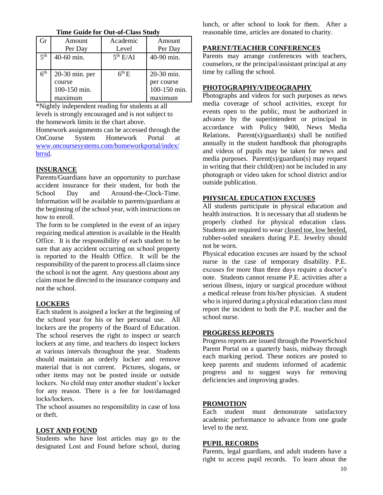**Time Guide for Out-of-Class Study**

| Gr              | Amount         | Academic             | Amount       |
|-----------------|----------------|----------------------|--------------|
|                 | Per Day        | Level                | Per Day      |
| 5 <sup>th</sup> | 40-60 min.     | 5 <sup>th</sup> E/AI | 40-90 min.   |
|                 |                |                      |              |
| 6 <sup>th</sup> | 20-30 min. per | $6th$ E              | 20-30 min.   |
|                 | course         |                      | per course   |
|                 | 100-150 min.   |                      | 100-150 min. |
|                 | maximum        |                      | maximum      |

\*Nightly independent reading for students at all levels is strongly encouraged and is not subject to the homework limits in the chart above.

Homework assignments can be accessed through the OnCourse System Homework Portal at [www.oncoursesystems.com/homeworkportal/index/](http://www.oncoursesystems.com/homeworkportal/index/brrsd) [brrsd.](http://www.oncoursesystems.com/homeworkportal/index/brrsd)

## **INSURANCE**

Parents/Guardians have an opportunity to purchase accident insurance for their student, for both the School Day and Around-the-Clock-Time. Information will be available to parents/guardians at the beginning of the school year, with instructions on how to enroll.

The form to be completed in the event of an injury requiring medical attention is available in the Health Office. It is the responsibility of each student to be sure that any accident occurring on school property is reported to the Health Office. It will be the responsibility of the parent to process all claims since the school is not the agent. Any questions about any claim must be directed to the insurance company and not the school.

## **LOCKERS**

Each student is assigned a locker at the beginning of the school year for his or her personal use. All lockers are the property of the Board of Education. The school reserves the right to inspect or search lockers at any time, and teachers do inspect lockers at various intervals throughout the year. Students should maintain an orderly locker and remove material that is not current. Pictures, slogans, or other items may not be posted inside or outside lockers. No child may enter another student's locker for any reason. There is a fee for lost/damaged locks/lockers.

The school assumes no responsibility in case of loss or theft.

## **LOST AND FOUND**

Students who have lost articles may go to the designated Lost and Found before school, during lunch, or after school to look for them. After a reasonable time, articles are donated to charity.

## **PARENT/TEACHER CONFERENCES**

Parents may arrange conferences with teachers, counselors, or the principal/assistant principal at any time by calling the school.

## **PHOTOGRAPHY/VIDEOGRAPHY**

Photographs and videos for such purposes as news media coverage of school activities, except for events open to the public, must be authorized in advance by the superintendent or principal in accordance with Policy 9400, News Media Relations. Parent(s)/guardian(s) shall be notified annually in the student handbook that photographs and videos of pupils may be taken for news and media purposes. Parent(s)/guardian(s) may request in writing that their child(ren) not be included in any photograph or video taken for school district and/or outside publication.

## **PHYSICAL EDUCATION EXCUSES**

All students participate in physical education and health instruction. It is necessary that all students be properly clothed for physical education class. Students are required to wear closed toe, low heeled, rubber-soled sneakers during P.E. Jewelry should not be worn.

Physical education excuses are issued by the school nurse in the case of temporary disability. P.E. excuses for more than three days require a doctor's note. Students cannot resume P.E. activities after a serious illness, injury or surgical procedure without a medical release from his/her physician. A student who is injured during a physical education class must report the incident to both the P.E. teacher and the school nurse.

## **PROGRESS REPORTS**

Progress reports are issued through the PowerSchool Parent Portal on a quarterly basis, midway through each marking period. These notices are posted to keep parents and students informed of academic progress and to suggest ways for removing deficiencies and improving grades.

## **PROMOTION**

Each student must demonstrate satisfactory academic performance to advance from one grade level to the next.

## **PUPIL RECORDS**

Parents, legal guardians, and adult students have a right to access pupil records. To learn about the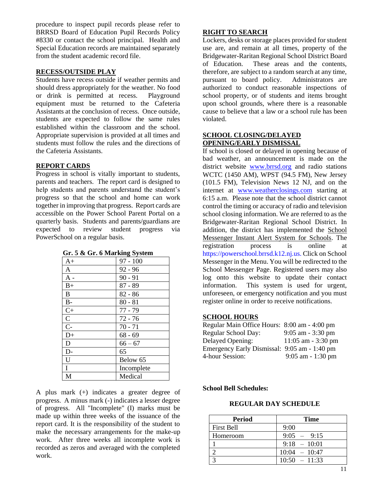procedure to inspect pupil records please refer to BRRSD Board of Education Pupil Records Policy #8330 or contact the school principal. Health and Special Education records are maintained separately from the student academic record file.

#### **RECESS/OUTSIDE PLAY**

Students have recess outside if weather permits and should dress appropriately for the weather. No food or drink is permitted at recess. Playground equipment must be returned to the Cafeteria Assistants at the conclusion of recess. Once outside, students are expected to follow the same rules established within the classroom and the school. Appropriate supervision is provided at all times and students must follow the rules and the directions of the Cafeteria Assistants.

#### **REPORT CARDS**

Progress in school is vitally important to students, parents and teachers. The report card is designed to help students and parents understand the student's progress so that the school and home can work together in improving that progress. Report cards are accessible on the Power School Parent Portal on a quarterly basis. Students and parents/guardians are expected to review student progress via PowerSchool on a regular basis.

| $\cdots$ $\alpha$ on $\alpha$ manager $\alpha$ |            |
|------------------------------------------------|------------|
| A+                                             | $97 - 100$ |
| A                                              | $92 - 96$  |
| $A -$                                          | $90 - 91$  |
| $B+$                                           | $87 - 89$  |
| B                                              | $82 - 86$  |
| $B-$                                           | $80 - 81$  |
| $C+$                                           | 77 - 79    |
| $\mathsf{C}$                                   | $72 - 76$  |
| $\overline{C}$                                 | $70 - 71$  |
| $D+$                                           | $68 - 69$  |
| D                                              | $66 - 67$  |
| D-                                             | 65         |
| U                                              | Below 65   |
| I                                              | Incomplete |
| M                                              | Medical    |

**Gr. 5 & Gr. 6 Marking System**

A plus mark (+) indicates a greater degree of progress. A minus mark (-) indicates a lesser degree of progress. All "Incomplete" (I) marks must be made up within three weeks of the issuance of the report card. It is the responsibility of the student to make the necessary arrangements for the make-up work. After three weeks all incomplete work is recorded as zeros and averaged with the completed work.

#### **RIGHT TO SEARCH**

Lockers, desks or storage places provided for student use are, and remain at all times, property of the Bridgewater-Raritan Regional School District Board of Education. These areas and the contents, therefore, are subject to a random search at any time, pursuant to board policy. Administrators are authorized to conduct reasonable inspections of school property, or of students and items brought upon school grounds, where there is a reasonable cause to believe that a law or a school rule has been violated.

#### **SCHOOL CLOSING/DELAYED OPENING/EARLY DISMISSAL**

If school is closed or delayed in opening because of bad weather, an announcement is made on the district website [www.brrsd.org](http://www.brrsd.org/) and radio stations WCTC (1450 AM), WPST (94.5 FM), New Jersey (101.5 FM), Television News 12 NJ, and on the internet at [www.weatherclosings.com](http://www.weatherclosings.com/) starting at 6:15 a.m. Please note that the school district cannot control the timing or accuracy of radio and television school closing information. We are referred to as the Bridgewater-Raritan Regional School District. In addition, the district has implemented the School Messenger Instant Alert System for Schools. The registration process is online at https://powerschool.brrsd.k12.nj.us. Click on School Messenger in the Menu. You will be redirected to the School Messenger Page. Registered users may also log onto this website to update their contact information. This system is used for urgent, unforeseen, or emergency notification and you must register online in order to receive notifications.

#### **SCHOOL HOURS**

| Regular Main Office Hours: 8:00 am - 4:00 pm |                      |
|----------------------------------------------|----------------------|
| Regular School Day:                          | $9:05$ am $-3:30$ pm |
| Delayed Opening:                             | $11:05$ am - 3:30 pm |
| Emergency Early Dismissal: 9:05 am - 1:40 pm |                      |
| 4-hour Session:                              | $9:05$ am $-1:30$ pm |

#### **School Bell Schedules:**

#### **REGULAR DAY SCHEDULE**

| Period            | <b>Time</b>     |
|-------------------|-----------------|
| <b>First Bell</b> | 9:00            |
| Homeroom          | $9:05 - 9:15$   |
|                   | $9:18 - 10:01$  |
|                   | $10:04 - 10:47$ |
|                   | $10:50 - 11:33$ |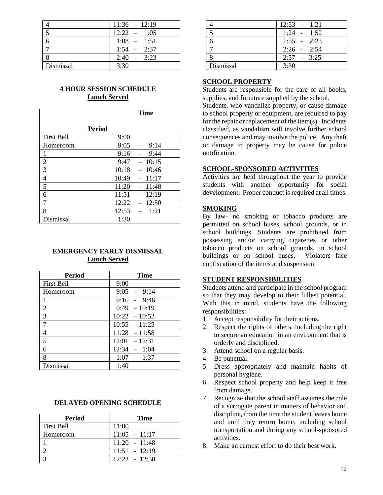|           | $11:36 - 12:19$ |
|-----------|-----------------|
|           | $12:22 - 1:05$  |
|           | $1:08 - 1:51$   |
|           | $1:54 - 2:37$   |
|           | $2:40 - 3:23$   |
| Dismissal | 3:30            |

## **4 HOUR SESSION SCHEDULE Lunch Served**

|                   | <b>Time</b>                              |
|-------------------|------------------------------------------|
| <b>Period</b>     |                                          |
| <b>First Bell</b> | 9:00                                     |
| Homeroom          | 9:05<br>9:14<br>$\overline{\phantom{0}}$ |
| 1                 | 9:16<br>9:44                             |
| $\overline{2}$    | 10:15<br>9:47                            |
| 3                 | 10:18<br>$-10:46$                        |
| 4                 | 10:49<br>11:17                           |
| 5                 | 11:20<br>$-11:48$                        |
| 6                 | 11:51<br>$-12:19$                        |
| 7                 | 12:22<br>12:50                           |
| 8                 | 12:53<br>1:21                            |
| Dismissal         | 1:30                                     |

#### **EMERGENCY EARLY DISMISSAL Lunch Served**

| <b>Period</b>     | Time            |
|-------------------|-----------------|
| <b>First Bell</b> | 9:00            |
| Homeroom          | $9:05 - 9:14$   |
| 1                 | $9:16 - 9:46$   |
| $\overline{2}$    | $9:49 - 10:19$  |
| 3                 | $10:22 - 10:52$ |
| $\overline{7}$    | $10:55 - 11:25$ |
| 4                 | $11:28 - 11:58$ |
| 5                 | $12:01 - 12:31$ |
| 6                 | $12:34 - 1:04$  |
| 8                 | $1:07 - 1:37$   |
| Dismissal         | 1:40            |

#### **DELAYED OPENING SCHEDULE**

| <b>Period</b>     | <b>Time</b>     |
|-------------------|-----------------|
| <b>First Bell</b> | 11:00           |
| Homeroom          | $11:05 - 11:17$ |
|                   | $11:20 - 11:48$ |
|                   | $11:51 - 12:19$ |
|                   | $12:22 - 12:50$ |

|           | $12:53 - 1:21$ |
|-----------|----------------|
|           | $1:24 - 1:52$  |
|           | $1:55 - 2:23$  |
|           | $2:26 - 2:54$  |
|           | $2:57 - 3:25$  |
| Dismissal | 3:30           |

#### **SCHOOL PROPERTY**

Students are responsible for the care of all books, supplies, and furniture supplied by the school.

Students, who vandalize property, or cause damage to school property or equipment, are required to pay for the repair or replacement of the item(s). Incidents classified, as vandalism will involve further school consequences and may involve the police. Any theft or damage to property may be cause for police notification.

#### **SCHOOL-SPONSORED ACTIVITIES**

Activities are held throughout the year to provide students with another opportunity for social development. Proper conduct is required at all times.

#### **SMOKING**

By law- no smoking or tobacco products are permitted on school buses, school grounds, or in school buildings. Students are prohibited from possessing and/or carrying cigarettes or other tobacco products on school grounds, in school buildings or on school buses. Violators face confiscation of the items and suspension.

#### **STUDENT RESPONSIBILITIES**

Students attend and participate in the school program so that they may develop to their fullest potential. With this in mind, students have the following responsibilities:

- 1. Accept responsibility for their actions.
- 2. Respect the rights of others, including the right to secure an education in an environment that is orderly and disciplined.
- 3. Attend school on a regular basis.
- 4. Be punctual.
- 5. Dress appropriately and maintain habits of personal hygiene.
- 6. Respect school property and help keep it free from damage.
- 7. Recognize that the school staff assumes the role of a surrogate parent in matters of behavior and discipline, from the time the student leaves home and until they return home, including school transportation and during any school-sponsored activities.
- 8. Make an earnest effort to do their best work.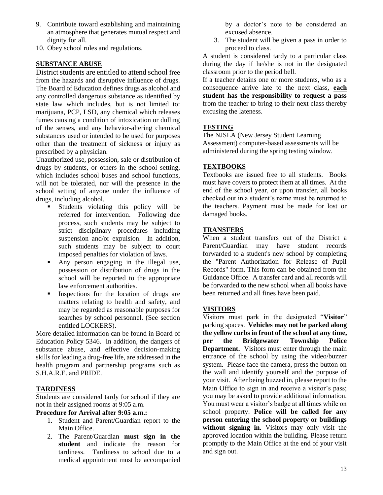- 9. Contribute toward establishing and maintaining an atmosphere that generates mutual respect and dignity for all.
- 10. Obey school rules and regulations.

## **SUBSTANCE ABUSE**

District students are entitled to attend school free from the hazards and disruptive influence of drugs. The Board of Education defines drugs as alcohol and any controlled dangerous substance as identified by state law which includes, but is not limited to: marijuana, PCP, LSD, any chemical which releases fumes causing a condition of intoxication or dulling of the senses, and any behavior-altering chemical substances used or intended to be used for purposes other than the treatment of sickness or injury as prescribed by a physician.

Unauthorized use, possession, sale or distribution of drugs by students, or others in the school setting, which includes school buses and school functions, will not be tolerated, nor will the presence in the school setting of anyone under the influence of drugs, including alcohol.

- Students violating this policy will be referred for intervention. Following due process, such students may be subject to strict disciplinary procedures including suspension and/or expulsion. In addition, such students may be subject to court imposed penalties for violation of laws.
- Any person engaging in the illegal use, possession or distribution of drugs in the school will be reported to the appropriate law enforcement authorities.
- **Exercise** Inspections for the location of drugs are matters relating to health and safety, and may be regarded as reasonable purposes for searches by school personnel. (See section entitled LOCKERS).

More detailed information can be found in Board of Education Policy 5346. In addition, the dangers of substance abuse, and effective decision-making skills for leading a drug-free life, are addressed in the health program and partnership programs such as S.H.A.R.E. and PRIDE.

## **TARDINESS**

Students are considered tardy for school if they are not in their assigned rooms at 9:05 a.m.

#### **Procedure for Arrival after 9:05 a.m.:**

- 1. Student and Parent/Guardian report to the Main Office.
- 2. The Parent/Guardian **must sign in the student** and indicate the reason for tardiness. Tardiness to school due to a medical appointment must be accompanied

by a doctor's note to be considered an excused absence.

3. The student will be given a pass in order to proceed to class.

A student is considered tardy to a particular class during the day if he/she is not in the designated classroom prior to the period bell.

If a teacher detains one or more students, who as a consequence arrive late to the next class, **each student has the responsibility to request a pass** from the teacher to bring to their next class thereby excusing the lateness.

## **TESTING**

The NJSLA (New Jersey Student Learning Assessment) computer-based assessments will be administered during the spring testing window.

## **TEXTBOOKS**

Textbooks are issued free to all students. Books must have covers to protect them at all times. At the end of the school year, or upon transfer, all books checked out in a student's name must be returned to the teachers. Payment must be made for lost or damaged books.

## **TRANSFERS**

When a student transfers out of the District a Parent/Guardian may have student records forwarded to a student's new school by completing the "Parent Authorization for Release of Pupil Records" form. This form can be obtained from the Guidance Office. A transfer card and all records will be forwarded to the new school when all books have been returned and all fines have been paid.

#### **VISITORS**

Visitors must park in the designated "**Visitor**" parking spaces. **Vehicles may not be parked along the yellow curbs in front of the school at any time, per the Bridgewater Township Police Department.** Visitors must enter through the main entrance of the school by using the video/buzzer system. Please face the camera, press the button on the wall and identify yourself and the purpose of your visit. After being buzzed in, please report to the Main Office to sign in and receive a visitor's pass; you may be asked to provide additional information. You must wear a visitor's badge at all times while on school property. **Police will be called for any person entering the school property or buildings without signing in.** Visitors may only visit the approved location within the building. Please return promptly to the Main Office at the end of your visit and sign out.